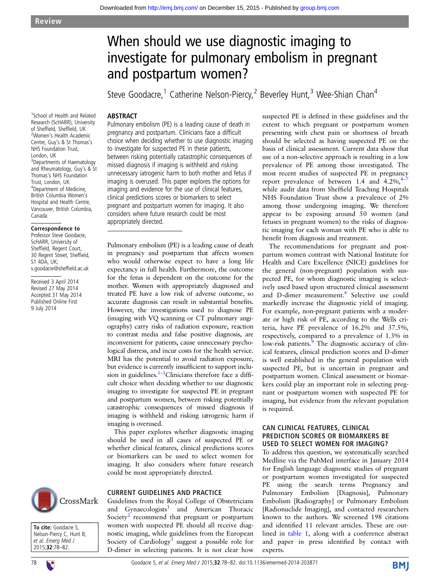# When should we use diagnostic imaging to investigate for pulmonary embolism in pregnant and postpartum women?

Steve Goodacre,<sup>1</sup> Catherine Nelson-Piercy,<sup>2</sup> Beverley Hunt,<sup>3</sup> Wee-Shian Chan<sup>4</sup>

#### **ABSTRACT**

1 School of Health and Related Research (ScHARR), University of Sheffield, Sheffield, UK <sup>2</sup> Women's Health Academic Centre, Guy's & St Thomas's NHS Foundation Trust, London, UK <sup>3</sup> Departments of Haematology and Rheumatology, Guy's & St Thomas's NHS Foundation Trust, London, UK 4 Department of Medicine, British Columbia Women's Hospital and Health Centre, Vancouver, British Columbia, Canada

#### Correspondence to

Professor Steve Goodacre, ScHARR, University of Sheffield, Regent Court, 30 Regent Street, Sheffield, S1 4DA, UK; s.goodacre@sheffield.ac.uk

Received 3 April 2014 Revised 27 May 2014 Accepted 31 May 2014 Published Online First 9 July 2014





Pulmonary embolism (PE) is a leading cause of death in pregnancy and postpartum. Clinicians face a difficult choice when deciding whether to use diagnostic imaging to investigate for suspected PE in these patients, between risking potentially catastrophic consequences of missed diagnosis if imaging is withheld and risking unnecessary iatrogenic harm to both mother and fetus if imaging is overused. This paper explores the options for imaging and evidence for the use of clinical features, clinical predictions scores or biomarkers to select pregnant and postpartum women for imaging. It also considers where future research could be most appropriately directed.

Pulmonary embolism (PE) is a leading cause of death in pregnancy and postpartum that affects women who would otherwise expect to have a long life expectancy in full health. Furthermore, the outcome for the fetus is dependent on the outcome for the mother. Women with appropriately diagnosed and treated PE have a low risk of adverse outcome, so accurate diagnosis can result in substantial benefits. However, the investigations used to diagnose PE (imaging with VQ scanning or CT pulmonary angiography) carry risks of radiation exposure, reaction to contrast media and false positive diagnosis, are inconvenient for patients, cause unnecessary psychological distress, and incur costs for the health service. MRI has the potential to avoid radiation exposure, but evidence is currently insufficient to support inclusion in guidelines.<sup>1-3</sup>Clinicians therefore face a difficult choice when deciding whether to use diagnostic imaging to investigate for suspected PE in pregnant and postpartum women, between risking potentially catastrophic consequences of missed diagnosis if imaging is withheld and risking iatrogenic harm if imaging is overused.

This paper explores whether diagnostic imaging should be used in all cases of suspected PE or whether clinical features, clinical predictions scores or biomarkers can be used to select women for imaging. It also considers where future research could be most appropriately directed.

#### CURRENT GUIDELINES AND PRACTICE

Guidelines from the Royal College of Obstetricians and Gynaecologists<sup>[1](#page-3-0)</sup> and American Thoracic Society<sup>[2](#page-3-0)</sup> recommend that pregnant or postpartum women with suspected PE should all receive diagnostic imaging, while guidelines from the European Society of Cardiology<sup>3</sup> suggest a possible role for D-dimer in selecting patients. It is not clear how

suspected PE is defined in these guidelines and the extent to which pregnant or postpartum women presenting with chest pain or shortness of breath should be selected as having suspected PE on the basis of clinical assessment. Current data show that use of a non-selective approach is resulting in a low prevalence of PE among those investigated. The most recent studies of suspected PE in pregnancy report prevalence of between 1.[4](#page-3-0) and  $4.2\%$ ,  $4\frac{1}{2}$ while audit data from Sheffield Teaching Hospitals NHS Foundation Trust show a prevalence of 2% among those undergoing imaging. We therefore appear to be exposing around 50 women (and fetuses in pregnant women) to the risks of diagnostic imaging for each woman with PE who is able to benefit from diagnosis and treatment.

The recommendations for pregnant and postpartum women contrast with National Institute for Health and Care Excellence (NICE) guidelines for the general (non-pregnant) population with suspected PE, for whom diagnostic imaging is selectively used based upon structured clinical assessment and D-dimer measurement.<sup>[8](#page-3-0)</sup> Selective use could markedly increase the diagnostic yield of imaging. For example, non-pregnant patients with a moderate or high risk of PE, according to the Wells criteria, have PE prevalence of 16.2% and 37.5%, respectively, compared to a prevalence of 1.3% in low-risk patients.<sup>[9](#page-3-0)</sup> The diagnostic accuracy of clinical features, clinical prediction scores and D-dimer is well established in the general population with suspected PE, but is uncertain in pregnant and postpartum women. Clinical assessment or biomarkers could play an important role in selecting pregnant or postpartum women with suspected PE for imaging, but evidence from the relevant population is required.

#### CAN CLINICAL FEATURES, CLINICAL PREDICTION SCORES OR BIOMARKERS BE USED TO SELECT WOMEN FOR IMAGING?

To address this question, we systematically searched Medline via the PubMed interface in January 2014 for English language diagnostic studies of pregnant or postpartum women investigated for suspected PE using the search terms Pregnancy and Pulmonary Embolism [Diagnosis], Pulmonary Embolism [Radiography] or Pulmonary Embolism [Radionuclide Imaging], and contacted researchers known to the authors. We screened 198 citations and identified 11 relevant articles. These are outlined in [table 1,](#page-1-0) along with a conference abstract and paper in press identified by contact with experts.

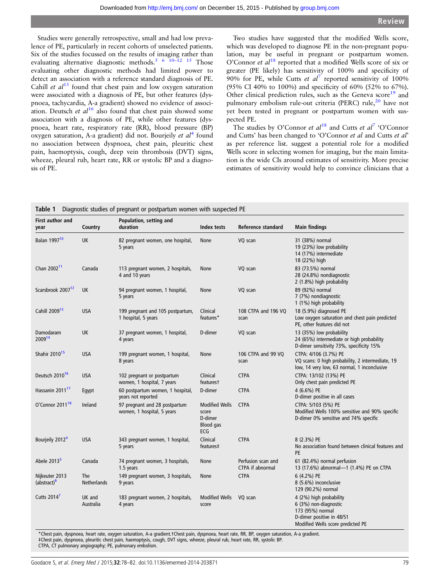<span id="page-1-0"></span>Studies were generally retrospective, small and had low prevalence of PE, particularly in recent cohorts of unselected patients. Six of the studies focussed on the results of imaging rather than evaluating alternative diagnostic methods.<sup>[5 6 10](#page-3-0)–12</sup> <sup>15</sup> Those evaluating other diagnostic methods had limited power to detect an association with a reference standard diagnosis of PE. Cahill et  $al<sup>13</sup>$  $al<sup>13</sup>$  $al<sup>13</sup>$  found that chest pain and low oxygen saturation were associated with a diagnosis of PE, but other features (dyspnoea, tachycardia, A-a gradient) showed no evidence of association. Deutsch et  $al^{16}$  $al^{16}$  $al^{16}$  also found that chest pain showed some association with a diagnosis of PE, while other features (dyspnoea, heart rate, respiratory rate (RR), blood pressure (BP) oxygen saturation, A-a gradient) did not. Bourjeily et  $al<sup>4</sup>$  $al<sup>4</sup>$  $al<sup>4</sup>$  found no association between dyspnoea, chest pain, pleuritic chest pain, haemoptysis, cough, deep vein thrombosis (DVT) signs, wheeze, pleural rub, heart rate, RR or systolic BP and a diagnosis of PE.

Two studies have suggested that the modified Wells score, which was developed to diagnose PE in the non-pregnant population, may be useful in pregnant or postpartum women. O'Connor et al<sup>[18](#page-3-0)</sup> reported that a modified Wells score of six or greater (PE likely) has sensitivity of 100% and specificity of 90% for PE, while Cutts et  $d\vec{l}$  reported sensitivity of 100% (95% CI 40% to 100%) and specificity of 60% (52% to 67%). Other clinical prediction rules, such as the Geneva score<sup>[19](#page-3-0)</sup> and pulmonary embolism rule-out criteria (PERC) rule,<sup>[20](#page-4-0)</sup> have not yet been tested in pregnant or postpartum women with suspected PE.

The studies by O'Connor et  $al^{18}$  $al^{18}$  $al^{18}$  and Cutts et  $al^{7}$  $al^{7}$  $al^{7}$  'O'Connor and Cutts' has been changed to 'O'Connor et al and Cutts et al' as per reference list. suggest a potential role for a modified Wells score in selecting women for imaging, but the main limitation is the wide CIs around estimates of sensitivity. More precise estimates of sensitivity would help to convince clinicians that a

Table 1 Diagnostic studies of pregnant or postpartum women with suspected PE

| <b>First author and</b><br>year             | Country                   | Population, setting and<br>duration                         | Index tests                                                   | Reference standard                     | <b>Main findings</b>                                                                                                                   |
|---------------------------------------------|---------------------------|-------------------------------------------------------------|---------------------------------------------------------------|----------------------------------------|----------------------------------------------------------------------------------------------------------------------------------------|
| Balan 1997 <sup>10</sup>                    | <b>UK</b>                 | 82 pregnant women, one hospital,<br>5 years                 | None                                                          | VQ scan                                | 31 (38%) normal<br>19 (23%) low probability<br>14 (17%) intermediate<br>18 (22%) high                                                  |
| Chan 2002 <sup>11</sup>                     | Canada                    | 113 pregnant women, 2 hospitals,<br>4 and 10 years          | None                                                          | VQ scan                                | 83 (73.5%) normal<br>28 (24.8%) nondiagnostic<br>2 (1.8%) high probability                                                             |
| Scarsbrook 2007 <sup>12</sup>               | <b>UK</b>                 | 94 pregnant women, 1 hospital,<br>5 years                   | None                                                          | VQ scan                                | 89 (92%) normal<br>7 (7%) nondiagnostic<br>1 (1%) high probability                                                                     |
| Cahill 2009 <sup>13</sup>                   | <b>USA</b>                | 199 pregnant and 105 postpartum,<br>1 hospital, 5 years     | Clinical<br>features*                                         | 108 CTPA and 196 VQ<br>scan            | 18 (5.9%) diagnosed PE<br>Low oxygen saturation and chest pain predicted<br>PE, other features did not                                 |
| Damodaram<br>200914                         | <b>UK</b>                 | 37 pregnant women, 1 hospital,<br>4 years                   | D-dimer                                                       | VQ scan                                | 13 (35%) low probability<br>24 (65%) intermediate or high probability<br>D-dimer sensitivity 73%, specificity 15%                      |
| Shahir 2010 <sup>15</sup>                   | <b>USA</b>                | 199 pregnant women, 1 hospital,<br>8 years                  | None                                                          | 106 CTPA and 99 VQ<br>scan             | CTPA: 4/106 (3.7%) PE<br>VQ scans: 0 high probability, 2 intermediate, 19<br>low, 14 very low, 63 normal, 1 inconclusive               |
| Deutsch 2010 <sup>16</sup>                  | <b>USA</b>                | 102 pregnant or postpartum<br>women, 1 hospital, 7 years    | Clinical<br>features <sup>+</sup>                             | <b>CTPA</b>                            | CTPA: 13/102 (13%) PE<br>Only chest pain predicted PE                                                                                  |
| Hassanin 2011 <sup>17</sup>                 | Egypt                     | 60 postpartum women, 1 hospital,<br>years not reported      | D-dimer                                                       | <b>CTPA</b>                            | 4 (6.6%) PE<br>D-dimer positive in all cases                                                                                           |
| 0'Connor 2011 <sup>18</sup>                 | Ireland                   | 97 pregnant and 28 postpartum<br>women, 1 hospital, 5 years | <b>Modified Wells</b><br>score<br>D-dimer<br>Blood gas<br>ECG | <b>CTPA</b>                            | CTPA: 5/103 (5%) PE<br>Modified Wells 100% sensitive and 90% specific<br>D-dimer 0% sensitive and 74% specific                         |
| Bourjeily 2012 <sup>4</sup>                 | <b>USA</b>                | 343 pregnant women, 1 hospital,<br>5 years                  | Clinical<br>features‡                                         | <b>CTPA</b>                            | 8 (2.3%) PE<br>No association found between clinical features and<br><b>PE</b>                                                         |
| Abele 2013 <sup>5</sup>                     | Canada                    | 74 pregnant women, 3 hospitals,<br>1.5 years                | None                                                          | Perfusion scan and<br>CTPA if abnormal | 61 (82.4%) normal perfusion<br>13 (17.6%) abnormal-1 (1.4%) PE on CTPA                                                                 |
| Nijkeuter 2013<br>(abstructor) <sup>6</sup> | <b>The</b><br>Netherlands | 149 pregnant women, 3 hospitals,<br>9 years                 | None                                                          | <b>CTPA</b>                            | 6 (4.2%) PE<br>8 (5.6%) inconclusive<br>129 (90.2%) normal                                                                             |
| Cutts 2014                                  | UK and<br>Australia       | 183 pregnant women, 2 hospitals,<br>4 years                 | <b>Modified Wells</b><br>score                                | VQ scan                                | 4 (2%) high probability<br>6 (3%) non-diagnostic<br>173 (95%) normal<br>D-dimer positive in 48/51<br>Modified Wells score predicted PE |

\*Chest pain, dyspnoea, heart rate, oxygen saturation, A-a gradient.†Chest pain, dyspnoea, heart rate, RR, BP, oxygen saturation, A-a gradient. ‡Chest pain, dyspnoea, pleuritic chest pain, haemoptysis, cough, DVT signs, wheeze, pleural rub, heart rate, RR, systolic BP. CTPA, CT pulmonary angiography; PE, pulmonary embolism.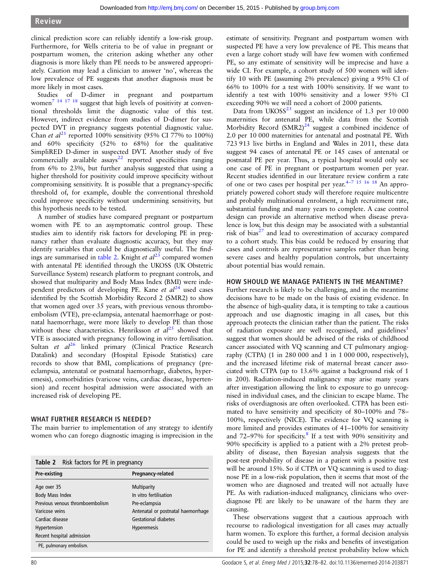clinical prediction score can reliably identify a low-risk group. Furthermore, for Wells criteria to be of value in pregnant or postpartum women, the criterion asking whether any other diagnosis is more likely than PE needs to be answered appropriately. Caution may lead a clinician to answer 'no', whereas the low prevalence of PE suggests that another diagnosis must be more likely in most cases.

Studies of D-dimer in pregnant and postpartum women<sup>7 14 17 18</sup> suggest that high levels of positivity at conventional thresholds limit the diagnostic value of this test. However, indirect evidence from studies of D-dimer for suspected DVT in pregnancy suggests potential diagnostic value. Chan et  $al^{21}$  $al^{21}$  $al^{21}$  reported 100% sensitivity (95% CI 77% to 100%) and 60% specificity (52% to 68%) for the qualitative SimpliRED D-dimer in suspected DVT. Another study of five  $commercially available assays<sup>22</sup> reported specificities ranging$  $commercially available assays<sup>22</sup> reported specificities ranging$  $commercially available assays<sup>22</sup> reported specificities ranging$ from 6% to 23%, but further analysis suggested that using a higher threshold for positivity could improve specificity without compromising sensitivity. It is possible that a pregnancy-specific threshold of, for example, double the conventional threshold could improve specificity without undermining sensitivity, but this hypothesis needs to be tested.

A number of studies have compared pregnant or postpartum women with PE to an asymptomatic control group. These studies aim to identify risk factors for developing PE in pregnancy rather than evaluate diagnostic accuracy, but they may identify variables that could be diagnostically useful. The findings are summarised in table 2. Knight et  $al^{23}$  $al^{23}$  $al^{23}$  compared women with antenatal PE identified through the UKOSS (UK Obstetric Surveillance System) research platform to pregnant controls, and showed that multiparity and Body Mass Index (BMI) were independent predictors of developing PE. Kane et  $al^{24}$  $al^{24}$  $al^{24}$  used cases identified by the Scottish Morbidity Record 2 (SMR2) to show that women aged over 35 years, with previous venous thromboembolism (VTE), pre-eclampsia, antenatal haemorrhage or postnatal haemorrhage, were more likely to develop PE than those without these characteristics. Henriksson et  $al^{25}$  $al^{25}$  $al^{25}$  showed that VTE is associated with pregnancy following in vitro fertilisation. Sultan et  $al^{26}$  $al^{26}$  $al^{26}$  linked primary (Clinical Practice Research Datalink) and secondary (Hospital Episode Statistics) care records to show that BMI, complications of pregnancy (preeclampsia, antenatal or postnatal haemorrhage, diabetes, hyperemesis), comorbidities (varicose veins, cardiac disease, hypertension) and recent hospital admission were associated with an increased risk of developing PE.

#### WHAT FURTHER RESEARCH IS NEEDED?

The main barrier to implementation of any strategy to identify women who can forego diagnostic imaging is imprecision in the

| <b>Table 2</b> Risk factors for PE in pregnancy |                                    |  |  |  |  |
|-------------------------------------------------|------------------------------------|--|--|--|--|
| Pre-existing                                    | Pregnancy-related                  |  |  |  |  |
| Age over 35                                     | <b>Multiparity</b>                 |  |  |  |  |
| Body Mass Index                                 | In vitro fertilisation             |  |  |  |  |
| Previous venous thromboembolism                 | Pre-eclampsia                      |  |  |  |  |
| Varicose veins                                  | Antenatal or postnatal haemorrhage |  |  |  |  |
| Cardiac disease                                 | Gestational diabetes               |  |  |  |  |
| Hypertension                                    | <b>Hyperemesis</b>                 |  |  |  |  |
| Recent hospital admission                       |                                    |  |  |  |  |
| PE, pulmonary embolism.                         |                                    |  |  |  |  |

maternities for antenatal PE, while data from the Scottish Morbidity Record (SMR2)<sup>[24](#page-4-0)</sup> suggest a combined incidence of 2.0 per 10 000 maternities for antenatal and postnatal PE. With 723 913 live births in England and Wales in 2011, these data suggest 94 cases of antenatal PE or 145 cases of antenatal or postnatal PE per year. Thus, a typical hospital would only see one case of PE in pregnant or postpartum women per year. Recent studies identified in our literature review confirm a rate of one or two cases per hospital per year. $4-7$  $4-7$  [15 16 18](#page-3-0) An appropriately powered cohort study will therefore require multicentre and probably multinational enrolment, a high recruitment rate, substantial funding and many years to complete. A case control design can provide an alternative method when disease prevalence is low, but this design may be associated with a substantial risk of bias $27$  and lead to overestimation of accuracy compared to a cohort study. This bias could be reduced by ensuring that cases and controls are representative samples rather than being severe cases and healthy population controls, but uncertainty about potential bias would remain.

estimate of sensitivity. Pregnant and postpartum women with

#### HOW SHOULD WE MANAGE PATIENTS IN THE MEANTIME?

Further research is likely to be challenging, and in the meantime decisions have to be made on the basis of existing evidence. In the absence of high-quality data, it is tempting to take a cautious approach and use diagnostic imaging in all cases, but this approach protects the clinician rather than the patient. The risks of radiation exposure are well recognised, and guidelines<sup>[1](#page-3-0)</sup> suggest that women should be advised of the risks of childhood cancer associated with VQ scanning and CT pulmonary angiography (CTPA) (1 in 280 000 and 1 in 1 000 000, respectively), and the increased lifetime risk of maternal breast cancer associated with CTPA (up to 13.6% against a background risk of 1 in 200). Radiation-induced malignancy may arise many years after investigation allowing the link to exposure to go unrecognised in individual cases, and the clinician to escape blame. The risks of overdiagnosis are often overlooked. CTPA has been estimated to have sensitivity and specificity of 80–100% and 78– 100%, respectively (NICE). The evidence for VQ scanning is more limited and provides estimates of 41–100% for sensitivity and 72–97% for specificity. $8$  If a test with 90% sensitivity and 90% specificity is applied to a patient with a 2% pretest probability of disease, then Bayesian analysis suggests that the post-test probability of disease in a patient with a positive test will be around 15%. So if CTPA or VQ scanning is used to diagnose PE in a low-risk population, then it seems that most of the women who are diagnosed and treated will not actually have PE. As with radiation-induced malignancy, clinicians who overdiagnose PE are likely to be unaware of the harm they are causing.

These observations suggest that a cautious approach with recourse to radiological investigation for all cases may actually harm women. To explore this further, a formal decision analysis could be used to weigh up the risks and benefits of investigation for PE and identify a threshold pretest probability below which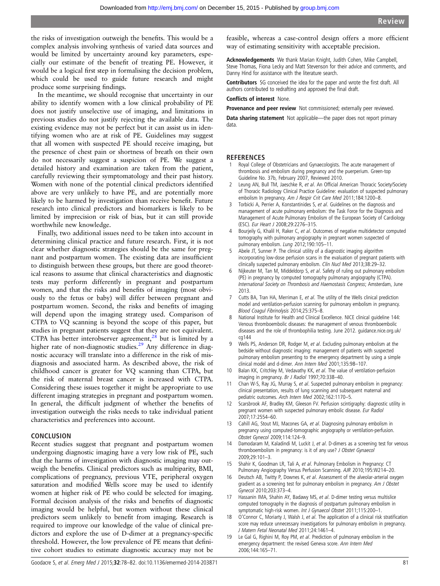<span id="page-3-0"></span>the risks of investigation outweigh the benefits. This would be a complex analysis involving synthesis of varied data sources and would be limited by uncertainty around key parameters, especially our estimate of the benefit of treating PE. However, it would be a logical first step in formalising the decision problem, which could be used to guide future research and might produce some surprising findings.

In the meantime, we should recognise that uncertainty in our ability to identify women with a low clinical probability of PE does not justify unselective use of imaging, and limitations in previous studies do not justify rejecting the available data. The existing evidence may not be perfect but it can assist us in identifying women who are at risk of PE. Guidelines may suggest that all women with suspected PE should receive imaging, but the presence of chest pain or shortness of breath on their own do not necessarily suggest a suspicion of PE. We suggest a detailed history and examination are taken from the patient, carefully reviewing their symptomatology and their past history. Women with none of the potential clinical predictors identified above are very unlikely to have PE, and are potentially more likely to be harmed by investigation than receive benefit. Future research into clinical predictors and biomarkers is likely to be limited by imprecision or risk of bias, but it can still provide worthwhile new knowledge.

Finally, two additional issues need to be taken into account in determining clinical practice and future research. First, it is not clear whether diagnostic strategies should be the same for pregnant and postpartum women. The existing data are insufficient to distinguish between these groups, but there are good theoretical reasons to assume that clinical characteristics and diagnostic tests may perform differently in pregnant and postpartum women, and that the risks and benefits of imaging (most obviously to the fetus or baby) will differ between pregnant and postpartum women. Second, the risks and benefits of imaging will depend upon the imaging strategy used. Comparison of CTPA to VQ scanning is beyond the scope of this paper, but studies in pregnant patients suggest that they are not equivalent. CTPA has better interobserver agreement,<sup>28</sup> but is limited by a higher rate of non-diagnostic studies.<sup>[29](#page-4-0)</sup> Any difference in diagnostic accuracy will translate into a difference in the risk of misdiagnosis and associated harm. As described above, the risk of childhood cancer is greater for VQ scanning than CTPA, but the risk of maternal breast cancer is increased with CTPA. Considering these issues together it might be appropriate to use different imaging strategies in pregnant and postpartum women. In general, the difficult judgment of whether the benefits of investigation outweigh the risks needs to take individual patient characteristics and preferences into account.

#### **CONCLUSION**

Recent studies suggest that pregnant and postpartum women undergoing diagnostic imaging have a very low risk of PE, such that the harms of investigation with diagnostic imaging may outweigh the benefits. Clinical predictors such as multiparity, BMI, complications of pregnancy, previous VTE, peripheral oxygen saturation and modified Wells score may be used to identify women at higher risk of PE who could be selected for imaging. Formal decision analysis of the risks and benefits of diagnostic imaging would be helpful, but women without these clinical predictors seem unlikely to benefit from imaging. Research is required to improve our knowledge of the value of clinical predictors and explore the use of D-dimer at a pregnancy-specific threshold. However, the low prevalence of PE means that definitive cohort studies to estimate diagnostic accuracy may not be

Acknowledgements We thank Marian Knight, Judith Cohen, Mike Campbell, Steve Thomas, Fiona Lecky and Matt Stevenson for their advice and comments, and Danny Hind for assistance with the literature search.

Contributors SG conceived the idea for the paper and wrote the first draft. All authors contributed to redrafting and approved the final draft.

#### Conflicts of interest None.

Provenance and peer review Not commissioned; externally peer reviewed.

Data sharing statement Not applicable—the paper does not report primary data.

#### **REFERENCES**

- 1 Royal College of Obstetricians and Gynaecologists. The acute management of thrombosis and embolism during pregnancy and the puerperium. Green-top Guideline No. 37b, February 2007, Reviewed 2010.
- 2 Leung AN, Bull TM, Jaeschke R, et al. An Official American Thoracic Society/Society of Thoracic Radiology Clinical Practice Guideline: evaluation of suspected pulmonary embolism In pregnancy. Am J Respir Crit Care Med 2011;184:1200–8.
- 3 Torbicki A, Perrier A, Konstantinides S, et al. Guidelines on the diagnosis and management of acute pulmonary embolism: the Task Force for the Diagnosis and Management of Acute Pulmonary Embolism of the European Society of Cardiology (ESC). Eur Heart J 2008;29:2276–315.
- Bourjeily G, Khalil H, Raker C, et al. Outcomes of negative multidetector computed tomography with pulmonary angiography in pregnant women suspected of pulmonary embolism. Lung 2012;190:105–11.
- 5 Abele JT, Sunner P. The clinical utility of a diagnostic imaging algorithm incorporating low-dose perfusion scans in the evaluation of pregnant patients with clinically suspected pulmonary embolism. Clin Nucl Med 2013;38:29–32.
- Nijkeuter M, Tan M, Middeldorp S, et al. Safety of ruling out pulmonary embolism (PE) in pregnancy by computed tomography pulmonary angiography (CTPA). International Society on Thrombosis and Haemostasis Congress; Amsterdam, June 2013.
- 7 Cutts BA, Tran HA, Merriman E, et al. The utility of the Wells clinical prediction model and ventilation-perfusion scanning for pulmonary embolism in pregnancy. Blood Coagul Fibrinolysis 2014;25:375–8.
- 8 National Institute for Health and Clinical Excellence. NICE clinical quideline 144: Venous thromboembolic diseases: the management of venous thromboembolic diseases and the role of thrombophilia testing. June 2012. guidance.nice.org.uk/ cg144
- 9 Wells PS, Anderson DR, Rodger M, et al. Excluding pulmonary embolism at the bedside without diagnostic imaging: management of patients with suspected pulmonary embolism presenting to the emergency department by using a simple clinical model and d-dimer. Ann Intern Med 2001;135:98–107.
- 10 Balan KK, Critchley M, Vedavathy KK, et al. The value of ventilation-perfusion imaging in pregnancy. Br J Radiol 1997;70:338–40.
- 11 Chan W-S, Ray JG, Murray S, et al. Suspected pulmonary embolism in pregnancy: clinical presentation, results of lung scanning and subsequent maternal and pediatric outcomes. Arch Intern Med 2002;162:1170–5.
- 12 Scarsbrook AF, Bradley KM, Gleeson FV. Perfusion scintigraphy: diagnostic utility in pregnant women with suspected pulmonary embolic disease. Eur Radiol 2007;17:2554–60.
- 13 Cahill AG, Stout MJ, Macones GA, et al. Diagnosing pulmonary embolism in pregnancy using computed-tomographic angiography or ventilation-perfusion. Obstet Gynecol 2009;114:124–9.
- 14 Damodaram M, Kaladindi M, Luckit J, et al. D-dimers as a screening test for venous thromboembolism in pregnancy: is it of any use? J Obstet Gynaecol 2009;29:101–3.
- 15 Shahir K, Goodman LR, Tali A, et al. Pulmonary Embolism in Pregnancy: CT Pulmonary Angiography Versus Perfusion Scanning. AJR 2010;195:W214–20.
- 16 Deutsch AB, Twitty P, Downes K, et al. Assessment of the alveolar-arterial oxygen gradient as a screening test for pulmonary embolism in pregnancy. Am J Obstet Gynecol 2010;203:373–4.
- 17 Hassanin IMA, Shahin AY, Badawy MS, et al. D-dimer testing versus multislice computed tomography in the diagnosis of postpartum pulmonary embolism in symptomatic high-risk women. Int J Gynaecol Obstet 2011;115:200-1.
- 18 O'Connor C, Moriarty J, Walsh J, et al. The application of a clinical risk stratification score may reduce unnecessary investigations for pulmonary embolism in pregnancy. J Matern Fetal Neonatal Med 2011;24:1461–4.
- Le Gal G, Righini M, Roy PM, et al. Prediction of pulmonary embolism in the emergency department: the revised Geneva score. Ann Intern Med 2006;144:165–71.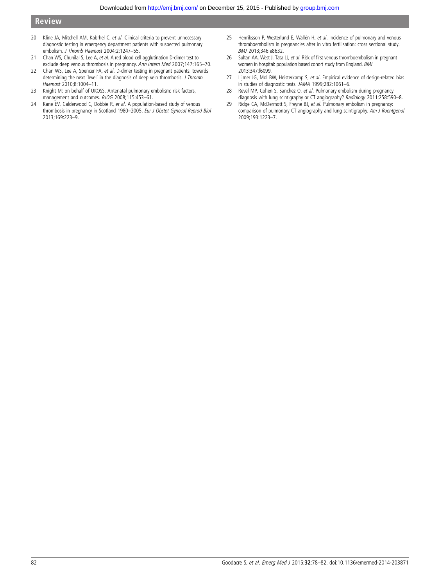### <span id="page-4-0"></span>Review

- 20 Kline JA, Mitchell AM, Kabrhel C, et al. Clinical criteria to prevent unnecessary diagnostic testing in emergency department patients with suspected pulmonary embolism. J Thromb Haemost 2004;2:1247–55.
- 21 Chan WS, Chunilal S, Lee A, et al. A red blood cell agglutination D-dimer test to exclude deep venous thrombosis in pregnancy. Ann Intern Med 2007;147:165–70.
- 22 Chan WS, Lee A, Spencer FA, et al. D-dimer testing in pregnant patients: towards determining the next 'level' in the diagnosis of deep vein thrombosis. J Thromb Haemost 2010;8:1004–11.
- 23 Knight M; on behalf of UKOSS. Antenatal pulmonary embolism: risk factors, management and outcomes. BJOG 2008;115:453–61.
- 24 Kane EV, Calderwood C, Dobbie R, et al. A population-based study of venous thrombosis in pregnancy in Scotland 1980-2005. Eur J Obstet Gynecol Reprod Biol 2013;169:223–9.
- 25 Henriksson P, Westerlund E, Wallén H, et al. Incidence of pulmonary and venous thromboembolism in pregnancies after in vitro fertilisation: cross sectional study. BMJ 2013;346:e8632.
- 26 Sultan AA, West J, Tata LJ, et al. Risk of first venous thromboembolism in pregnant women in hospital: population based cohort study from England. BMJ 2013;347:f6099.
- 27 Lijmer JG, Mol BW, Heisterkamp S, et al. Empirical evidence of design-related bias in studies of diagnostic tests. JAMA 1999;282:1061–6.
- 28 Revel MP, Cohen S, Sanchez O, et al. Pulmonary embolism during pregnancy: diagnosis with lung scintigraphy or CT angiography? Radiology 2011;258:590–8.
- 29 Ridge CA, McDermott S, Freyne BJ, et al. Pulmonary embolism in pregnancy: comparison of pulmonary CT angiography and lung scintigraphy. Am J Roentgenol 2009;193:1223–7.